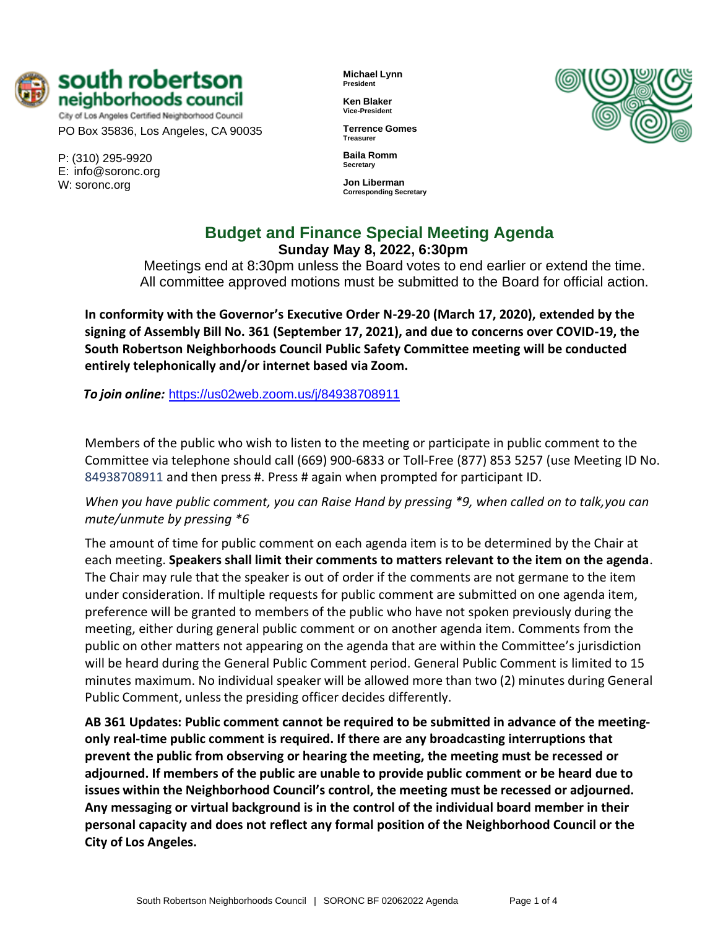

City of Los Angeles Certified Neighborhood Council PO Box 35836, Los Angeles, CA 90035

P: (310) 295-9920 E: [info@soronc.org](mailto:info@soronc.org) W: soronc.org

**Michael Lynn President**

**Ken Blaker Vice-President**

**Terrence Gomes Treasurer**

**Baila Romm Secretary**

**Jon Liberman Corresponding Secretary**



# **Budget and Finance Special Meeting Agenda Sunday May 8, 2022, 6:30pm**

Meetings end at 8:30pm unless the Board votes to end earlier or extend the time. All committee approved motions must be submitted to the Board for official action.

**In conformity with the Governor's Executive Order N-29-20 (March 17, 2020), extended by the signing of Assembly Bill No. 361 (September 17, 2021), and due to concerns over COVID-19, the South Robertson Neighborhoods Council Public Safety Committee meeting will be conducted entirely telephonically and/or internet based via Zoom.**

*To join online:* <https://us02web.zoom.us/j/84938708911>

Members of the public who wish to listen to the meeting or participate in public comment to the Committee via telephone should call (669) 900-6833 or Toll-Free (877) 853 5257 (use Meeting ID No. 84938708911 and then press #. Press # again when prompted for participant ID.

*When you have public comment, you can Raise Hand by pressing \*9, when called on to talk,you can mute/unmute by pressing \*6*

The amount of time for public comment on each agenda item is to be determined by the Chair at each meeting. **Speakers shall limit their comments to matters relevant to the item on the agenda**. The Chair may rule that the speaker is out of order if the comments are not germane to the item under consideration. If multiple requests for public comment are submitted on one agenda item, preference will be granted to members of the public who have not spoken previously during the meeting, either during general public comment or on another agenda item. Comments from the public on other matters not appearing on the agenda that are within the Committee's jurisdiction will be heard during the General Public Comment period. General Public Comment is limited to 15 minutes maximum. No individual speaker will be allowed more than two (2) minutes during General Public Comment, unless the presiding officer decides differently.

**AB 361 Updates: Public comment cannot be required to be submitted in advance of the meetingonly real-time public comment is required. If there are any broadcasting interruptions that prevent the public from observing or hearing the meeting, the meeting must be recessed or adjourned. If members of the public are unable to provide public comment or be heard due to issues within the Neighborhood Council's control, the meeting must be recessed or adjourned. Any messaging or virtual background is in the control of the individual board member in their personal capacity and does not reflect any formal position of the Neighborhood Council or the City of Los Angeles.**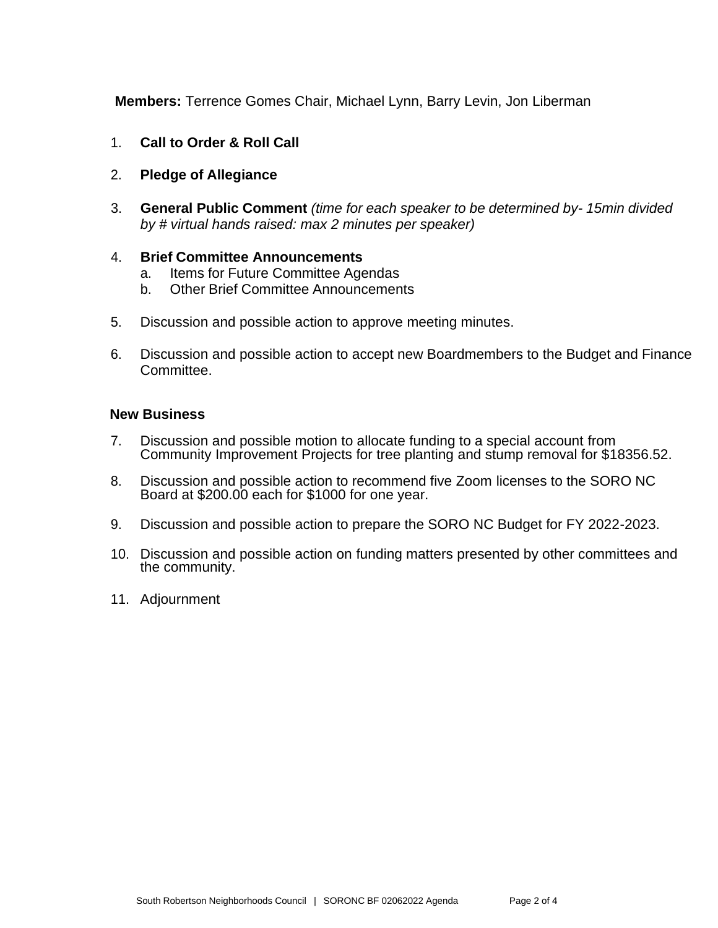**Members:** Terrence Gomes Chair, Michael Lynn, Barry Levin, Jon Liberman

- 1. **Call to Order & Roll Call**
- 2. **Pledge of Allegiance**
- 3. **General Public Comment** *(time for each speaker to be determined by- 15min divided by # virtual hands raised: max 2 minutes per speaker)*

#### 4. **Brief Committee Announcements**

- a. Items for Future Committee Agendas
- b. Other Brief Committee Announcements
- 5. Discussion and possible action to approve meeting minutes.
- 6. Discussion and possible action to accept new Boardmembers to the Budget and Finance Committee.

#### **New Business**

- 7. Discussion and possible motion to allocate funding to a special account from Community Improvement Projects for tree planting and stump removal for \$18356.52.
- 8. Discussion and possible action to recommend five Zoom licenses to the SORO NC Board at \$200.00 each for \$1000 for one year.
- 9. Discussion and possible action to prepare the SORO NC Budget for FY 2022-2023.
- 10. Discussion and possible action on funding matters presented by other committees and the community.
- 11. Adjournment